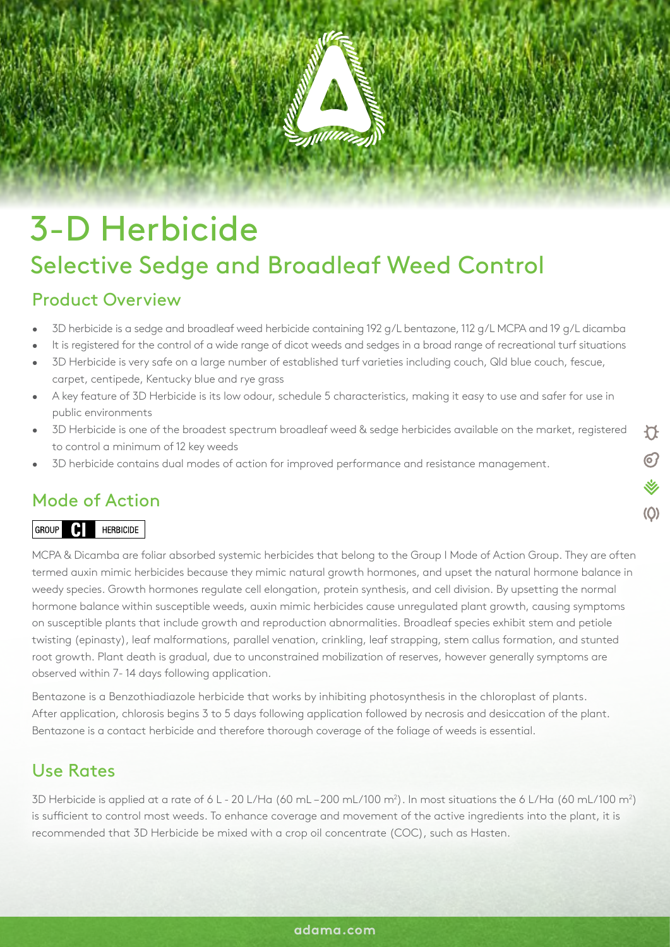## 3-D Herbicide Selective Sedge and Broadleaf Weed Control

## Product Overview

- 3D herbicide is a sedge and broadleaf weed herbicide containing 192 g/L bentazone, 112 g/L MCPA and 19 g/L dicamba
- It is registered for the control of a wide range of dicot weeds and sedges in a broad range of recreational turf situations
- 3D Herbicide is very safe on a large number of established turf varieties including couch, Qld blue couch, fescue, carpet, centipede, Kentucky blue and rye grass
- A key feature of 3D Herbicide is its low odour, schedule 5 characteristics, making it easy to use and safer for use in public environments
- 3D Herbicide is one of the broadest spectrum broadleaf weed & sedge herbicides available on the market, registered to control a minimum of 12 key weeds
- 3D herbicide contains dual modes of action for improved performance and resistance management.

## Mode of Action

#### GROUP **C** HERBICIDE

MCPA & Dicamba are foliar absorbed systemic herbicides that belong to the Group I Mode of Action Group. They are often termed auxin mimic herbicides because they mimic natural growth hormones, and upset the natural hormone balance in weedy species. Growth hormones regulate cell elongation, protein synthesis, and cell division. By upsetting the normal hormone balance within susceptible weeds, auxin mimic herbicides cause unregulated plant growth, causing symptoms on susceptible plants that include growth and reproduction abnormalities. Broadleaf species exhibit stem and petiole twisting (epinasty), leaf malformations, parallel venation, crinkling, leaf strapping, stem callus formation, and stunted root growth. Plant death is gradual, due to unconstrained mobilization of reserves, however generally symptoms are observed within 7- 14 days following application.

Bentazone is a Benzothiadiazole herbicide that works by inhibiting photosynthesis in the chloroplast of plants. After application, chlorosis begins 3 to 5 days following application followed by necrosis and desiccation of the plant. Bentazone is a contact herbicide and therefore thorough coverage of the foliage of weeds is essential.

## Use Rates

3D Herbicide is applied at a rate of 6 L - 20 L/Ha (60 mL – 200 mL/100 m²). In most situations the 6 L/Ha (60 mL/100 m²) is sufficient to control most weeds. To enhance coverage and movement of the active ingredients into the plant, it is recommended that 3D Herbicide be mixed with a crop oil concentrate (COC), such as Hasten.